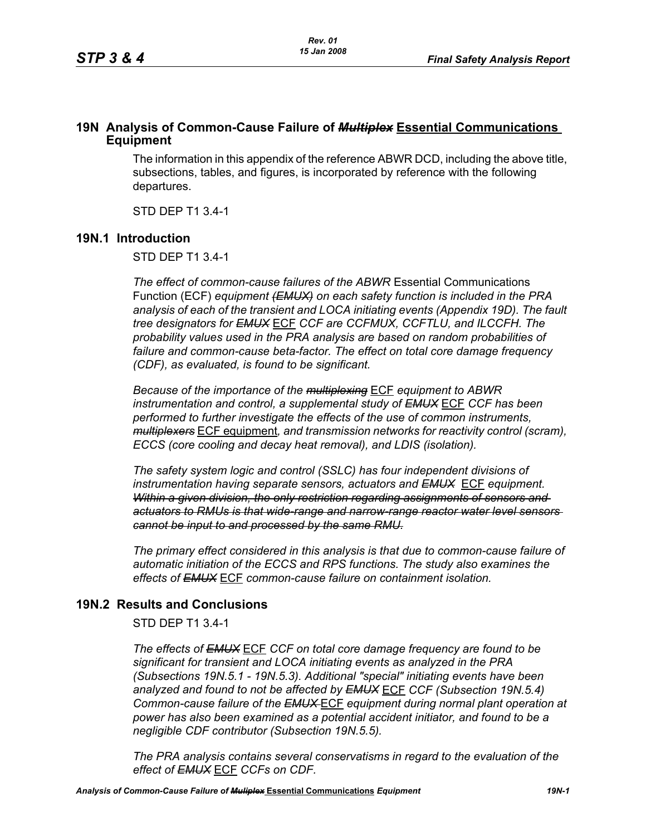# **19N Analysis of Common-Cause Failure of** *Multiplex* **Essential Communications Equipment**

The information in this appendix of the reference ABWR DCD, including the above title, subsections, tables, and figures, is incorporated by reference with the following departures.

STD DEP T1 3.4-1

## **19N.1 Introduction**

STD DEP T1 3.4-1

*The effect of common-cause failures of the ABWR* Essential Communications Function (ECF) *equipment (EMUX) on each safety function is included in the PRA analysis of each of the transient and LOCA initiating events (Appendix 19D). The fault tree designators for EMUX* ECF *CCF are CCFMUX, CCFTLU, and ILCCFH. The probability values used in the PRA analysis are based on random probabilities of failure and common-cause beta-factor. The effect on total core damage frequency (CDF), as evaluated, is found to be significant.* 

*Because of the importance of the multiplexing* ECF *equipment to ABWR instrumentation and control, a supplemental study of EMUX* ECF *CCF has been performed to further investigate the effects of the use of common instruments, multiplexers* ECF equipment*, and transmission networks for reactivity control (scram), ECCS (core cooling and decay heat removal), and LDIS (isolation).* 

*The safety system logic and control (SSLC) has four independent divisions of instrumentation having separate sensors, actuators and EMUX* ECF *equipment. Within a given division, the only restriction regarding assignments of sensors and actuators to RMUs is that wide-range and narrow-range reactor water level sensors cannot be input to and processed by the same RMU.*

*The primary effect considered in this analysis is that due to common-cause failure of automatic initiation of the ECCS and RPS functions. The study also examines the effects of EMUX* ECF *common-cause failure on containment isolation.* 

# **19N.2 Results and Conclusions**

STD DEP T1 3.4-1

*The effects of EMUX* ECF *CCF on total core damage frequency are found to be significant for transient and LOCA initiating events as analyzed in the PRA (Subsections 19N.5.1 - 19N.5.3). Additional "special" initiating events have been analyzed and found to not be affected by EMUX* ECF *CCF (Subsection 19N.5.4) Common-cause failure of the EMUX* ECF *equipment during normal plant operation at power has also been examined as a potential accident initiator, and found to be a negligible CDF contributor (Subsection 19N.5.5).* 

*The PRA analysis contains several conservatisms in regard to the evaluation of the effect of EMUX* ECF *CCFs on CDF.*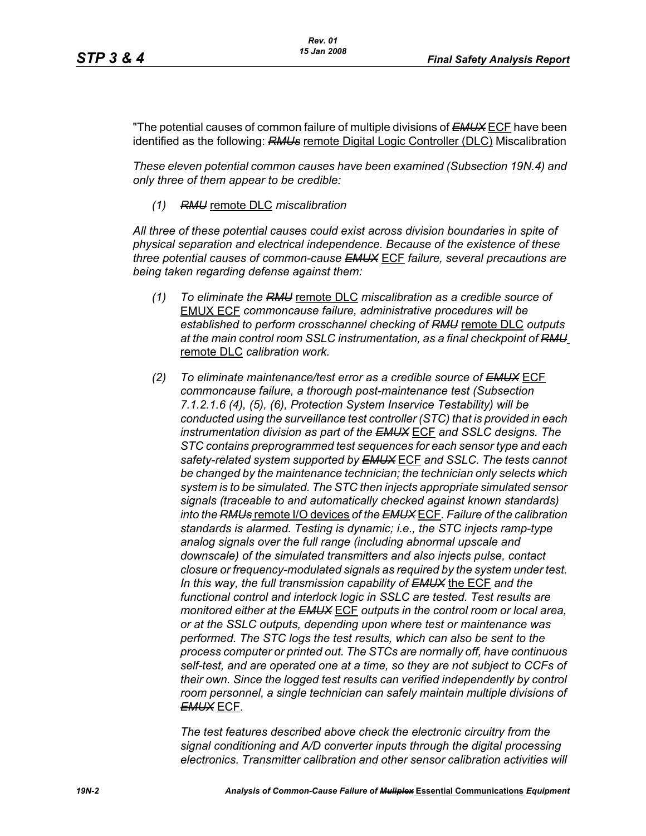"The potential causes of common failure of multiple divisions of *EMUX* ECF have been identified as the following: *RMUs* remote Digital Logic Controller (DLC) Miscalibration

*These eleven potential common causes have been examined (Subsection 19N.4) and only three of them appear to be credible:*

*(1) RMU* remote DLC *miscalibration*

*All three of these potential causes could exist across division boundaries in spite of physical separation and electrical independence. Because of the existence of these three potential causes of common-cause EMUX* ECF *failure, several precautions are being taken regarding defense against them:*

- *(1) To eliminate the RMU* remote DLC *miscalibration as a credible source of*  EMUX ECF *commoncause failure, administrative procedures will be established to perform crosschannel checking of RMU* remote DLC *outputs at the main control room SSLC instrumentation, as a final checkpoint of RMU* remote DLC *calibration work.*
- *(2) To eliminate maintenance/test error as a credible source of EMUX* ECF *commoncause failure, a thorough post-maintenance test (Subsection 7.1.2.1.6 (4), (5), (6), Protection System Inservice Testability) will be conducted using the surveillance test controller (STC) that is provided in each instrumentation division as part of the EMUX* ECF *and SSLC designs. The STC contains preprogrammed test sequences for each sensor type and each safety-related system supported by EMUX* ECF *and SSLC. The tests cannot be changed by the maintenance technician; the technician only selects which system is to be simulated. The STC then injects appropriate simulated sensor signals (traceable to and automatically checked against known standards) into the RMUs* remote I/O devices *of the EMUX* ECF*. Failure of the calibration standards is alarmed. Testing is dynamic; i.e., the STC injects ramp-type analog signals over the full range (including abnormal upscale and downscale) of the simulated transmitters and also injects pulse, contact closure or frequency-modulated signals as required by the system under test. In this way, the full transmission capability of EMUX* the ECF *and the functional control and interlock logic in SSLC are tested. Test results are monitored either at the EMUX* ECF *outputs in the control room or local area, or at the SSLC outputs, depending upon where test or maintenance was performed. The STC logs the test results, which can also be sent to the process computer or printed out. The STCs are normally off, have continuous self-test, and are operated one at a time, so they are not subject to CCFs of their own. Since the logged test results can verified independently by control room personnel, a single technician can safely maintain multiple divisions of EMUX* ECF*.*

*The test features described above check the electronic circuitry from the signal conditioning and A/D converter inputs through the digital processing electronics. Transmitter calibration and other sensor calibration activities will*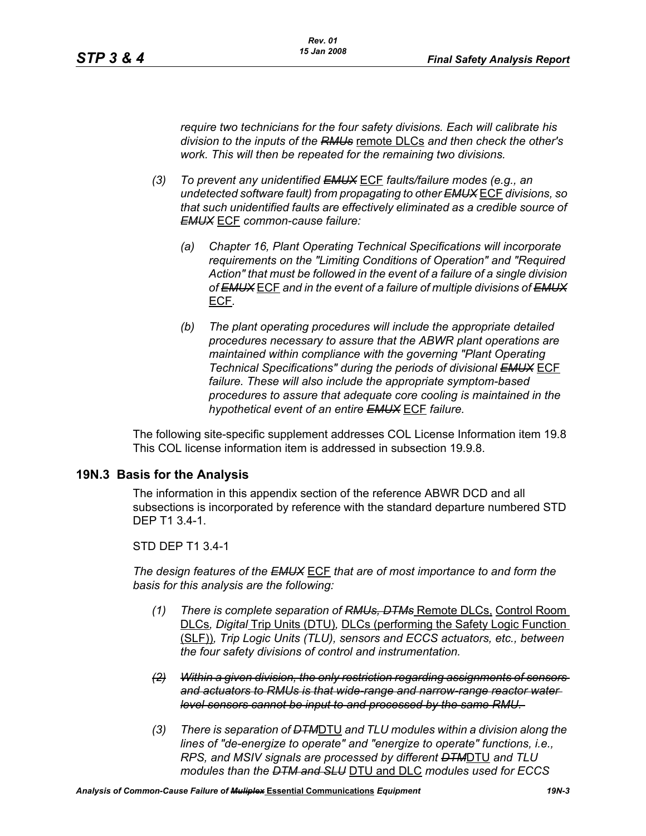*require two technicians for the four safety divisions. Each will calibrate his division to the inputs of the RMUs* remote DLCs *and then check the other's work. This will then be repeated for the remaining two divisions.*

- *(3) To prevent any unidentified EMUX* ECF *faults/failure modes (e.g., an undetected software fault) from propagating to other EMUX* ECF *divisions, so that such unidentified faults are effectively eliminated as a credible source of EMUX* ECF *common-cause failure:* 
	- *(a) Chapter 16, Plant Operating Technical Specifications will incorporate requirements on the "Limiting Conditions of Operation" and "Required Action" that must be followed in the event of a failure of a single division of EMUX* ECF *and in the event of a failure of multiple divisions of EMUX* ECF*.*
	- *(b) The plant operating procedures will include the appropriate detailed procedures necessary to assure that the ABWR plant operations are maintained within compliance with the governing "Plant Operating Technical Specifications" during the periods of divisional EMUX* ECF *failure. These will also include the appropriate symptom-based procedures to assure that adequate core cooling is maintained in the hypothetical event of an entire EMUX* ECF *failure.*

The following site-specific supplement addresses COL License Information item 19.8 This COL license information item is addressed in subsection 19.9.8.

## **19N.3 Basis for the Analysis**

The information in this appendix section of the reference ABWR DCD and all subsections is incorporated by reference with the standard departure numbered STD DEP T1 3.4-1.

### STD DEP T1 3.4-1

*The design features of the EMUX* ECF *that are of most importance to and form the basis for this analysis are the following:*

- *(1) There is complete separation of RMUs, DTMs* Remote DLCs, Control Room DLCs*, Digital* Trip Units (DTU)*,* DLCs (performing the Safety Logic Function (SLF))*, Trip Logic Units (TLU), sensors and ECCS actuators, etc., between the four safety divisions of control and instrumentation.*
- *(2) Within a given division, the only restriction regarding assignments of sensors and actuators to RMUs is that wide-range and narrow-range reactor water level sensors cannot be input to and processed by the same RMU.*
- *(3) There is separation of DTM*DTU *and TLU modules within a division along the lines of "de-energize to operate" and "energize to operate" functions, i.e., RPS, and MSIV signals are processed by different DTM*DTU *and TLU modules than the DTM and SLU* DTU and DLC *modules used for ECCS*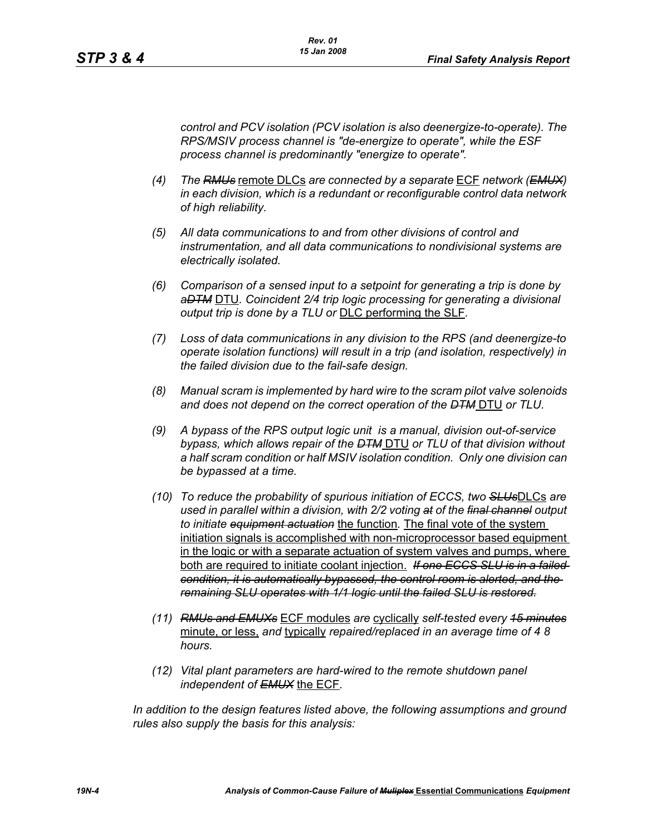*control and PCV isolation (PCV isolation is also deenergize-to-operate). The RPS/MSIV process channel is "de-energize to operate", while the ESF process channel is predominantly "energize to operate".* 

- *(4) The RMUs* remote DLCs *are connected by a separate* ECF *network (EMUX) in each division, which is a redundant or reconfigurable control data network of high reliability.*
- *(5) All data communications to and from other divisions of control and instrumentation, and all data communications to nondivisional systems are electrically isolated.*
- *(6) Comparison of a sensed input to a setpoint for generating a trip is done by aDTM* DTU*. Coincident 2/4 trip logic processing for generating a divisional output trip is done by a TLU or* DLC performing the SLF*.*
- *(7) Loss of data communications in any division to the RPS (and deenergize-to operate isolation functions) will result in a trip (and isolation, respectively) in the failed division due to the fail-safe design.*
- *(8) Manual scram is implemented by hard wire to the scram pilot valve solenoids and does not depend on the correct operation of the DTM* DTU *or TLU.*
- *(9) A bypass of the RPS output logic unit is a manual, division out-of-service bypass, which allows repair of the DTM* DTU *or TLU of that division without a half scram condition or half MSIV isolation condition. Only one division can be bypassed at a time.*
- *(10) To reduce the probability of spurious initiation of ECCS, two SLUs*DLCs *are used in parallel within a division, with 2/2 voting at of the final channel output to initiate equipment actuation* the function*.* The final vote of the system initiation signals is accomplished with non-microprocessor based equipment in the logic or with a separate actuation of system valves and pumps, where both are required to initiate coolant injection. *If one ECCS SLU is in a failed condition, it is automatically bypassed, the control room is alerted, and the remaining SLU operates with 1/1 logic until the failed SLU is restored.*
- *(11) RMUs and EMUXs* ECF modules *are* cyclically *self-tested every 15 minutes* minute, or less, *and* typically *repaired/replaced in an average time of 4 8 hours.*
- *(12) Vital plant parameters are hard-wired to the remote shutdown panel independent of EMUX* the ECF*.*

In addition to the design features listed above, the following assumptions and ground *rules also supply the basis for this analysis:*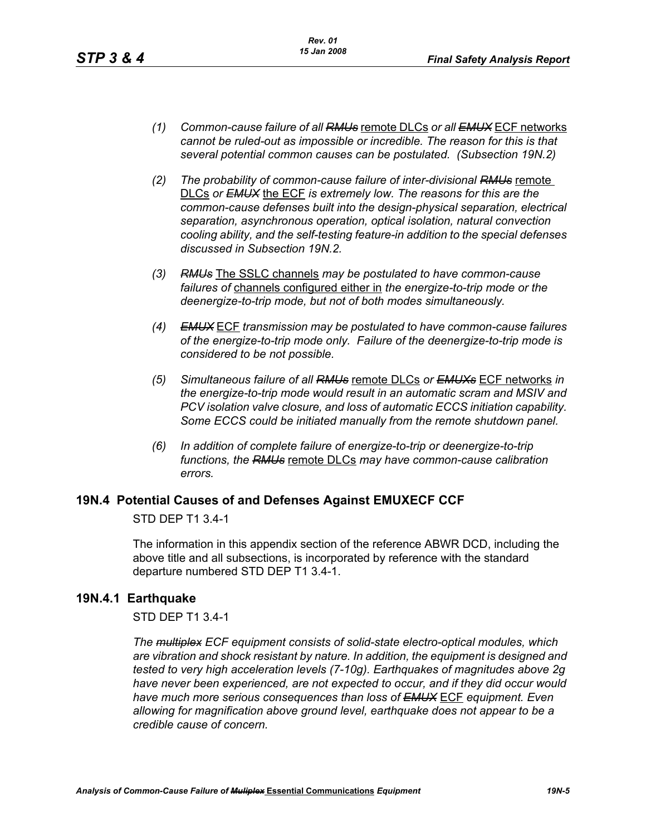- *(1) Common-cause failure of all RMUs* remote DLCs *or all EMUX* ECF networks *cannot be ruled-out as impossible or incredible. The reason for this is that several potential common causes can be postulated. (Subsection 19N.2)*
- *(2) The probability of common-cause failure of inter-divisional RMUs* remote DLCs *or EMUX* the ECF *is extremely low. The reasons for this are the common-cause defenses built into the design-physical separation, electrical separation, asynchronous operation, optical isolation, natural convection cooling ability, and the self-testing feature-in addition to the special defenses discussed in Subsection 19N.2.*
- *(3) RMUs* The SSLC channels *may be postulated to have common-cause failures of* channels configured either in *the energize-to-trip mode or the deenergize-to-trip mode, but not of both modes simultaneously.*
- *(4) EMUX* ECF *transmission may be postulated to have common-cause failures of the energize-to-trip mode only. Failure of the deenergize-to-trip mode is considered to be not possible.*
- *(5) Simultaneous failure of all RMUs* remote DLCs *or EMUXs* ECF networks *in the energize-to-trip mode would result in an automatic scram and MSIV and PCV isolation valve closure, and loss of automatic ECCS initiation capability. Some ECCS could be initiated manually from the remote shutdown panel.*
- *(6) In addition of complete failure of energize-to-trip or deenergize-to-trip functions, the RMUs* remote DLCs *may have common-cause calibration errors.*

## **19N.4 Potential Causes of and Defenses Against EMUXECF CCF**

STD DEP T1 3.4-1

The information in this appendix section of the reference ABWR DCD, including the above title and all subsections, is incorporated by reference with the standard departure numbered STD DEP T1 3.4-1.

## **19N.4.1 Earthquake**

STD DEP T1 3.4-1

*The multiplex ECF equipment consists of solid-state electro-optical modules, which are vibration and shock resistant by nature. In addition, the equipment is designed and tested to very high acceleration levels (7-10g). Earthquakes of magnitudes above 2g have never been experienced, are not expected to occur, and if they did occur would have much more serious consequences than loss of EMUX* ECF *equipment. Even allowing for magnification above ground level, earthquake does not appear to be a credible cause of concern.*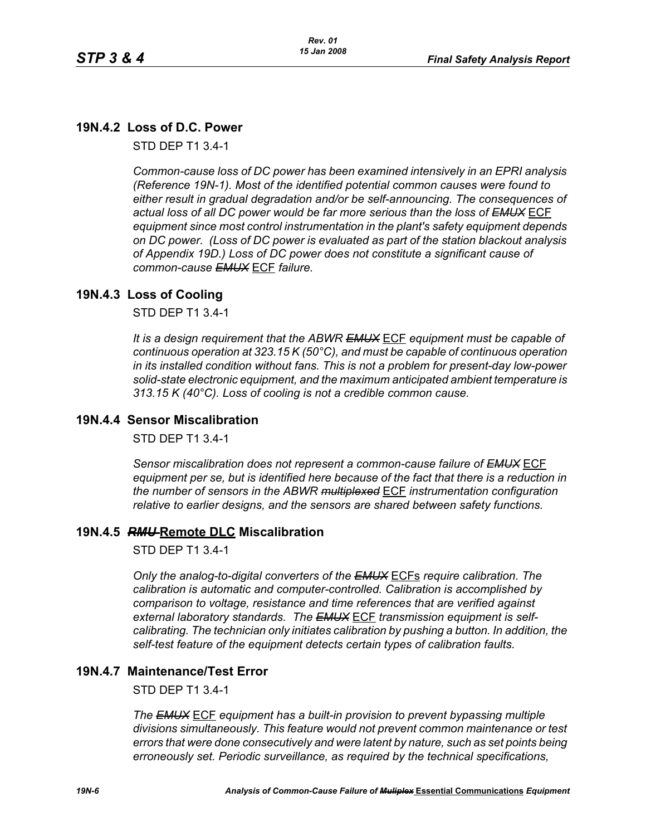# **19N.4.2 Loss of D.C. Power**

STD DEP T1 3.4-1

*Common-cause loss of DC power has been examined intensively in an EPRI analysis (Reference 19N-1). Most of the identified potential common causes were found to either result in gradual degradation and/or be self-announcing. The consequences of actual loss of all DC power would be far more serious than the loss of EMUX* ECF *equipment since most control instrumentation in the plant's safety equipment depends on DC power. (Loss of DC power is evaluated as part of the station blackout analysis of Appendix 19D.) Loss of DC power does not constitute a significant cause of common-cause EMUX* ECF *failure.* 

# **19N.4.3 Loss of Cooling**

STD DEP T1 3.4-1

*It is a design requirement that the ABWR EMUX* ECF *equipment must be capable of continuous operation at 323.15 K (50°C), and must be capable of continuous operation in its installed condition without fans. This is not a problem for present-day low-power solid-state electronic equipment, and the maximum anticipated ambient temperature is 313.15 K (40°C). Loss of cooling is not a credible common cause.* 

## **19N.4.4 Sensor Miscalibration**

STD DEP T1 3.4-1

*Sensor miscalibration does not represent a common-cause failure of EMUX* ECF *equipment per se, but is identified here because of the fact that there is a reduction in the number of sensors in the ABWR multiplexed* ECF *instrumentation configuration relative to earlier designs, and the sensors are shared between safety functions.* 

## **19N.4.5** *RMU* **Remote DLC Miscalibration**

STD DEP T1 3.4-1

*Only the analog-to-digital converters of the EMUX* ECFs *require calibration. The calibration is automatic and computer-controlled. Calibration is accomplished by comparison to voltage, resistance and time references that are verified against external laboratory standards. The EMUX* ECF *transmission equipment is selfcalibrating. The technician only initiates calibration by pushing a button. In addition, the self-test feature of the equipment detects certain types of calibration faults.* 

## **19N.4.7 Maintenance/Test Error**

STD DEP T1 3.4-1

*The EMUX* ECF *equipment has a built-in provision to prevent bypassing multiple divisions simultaneously. This feature would not prevent common maintenance or test errors that were done consecutively and were latent by nature, such as set points being erroneously set. Periodic surveillance, as required by the technical specifications,*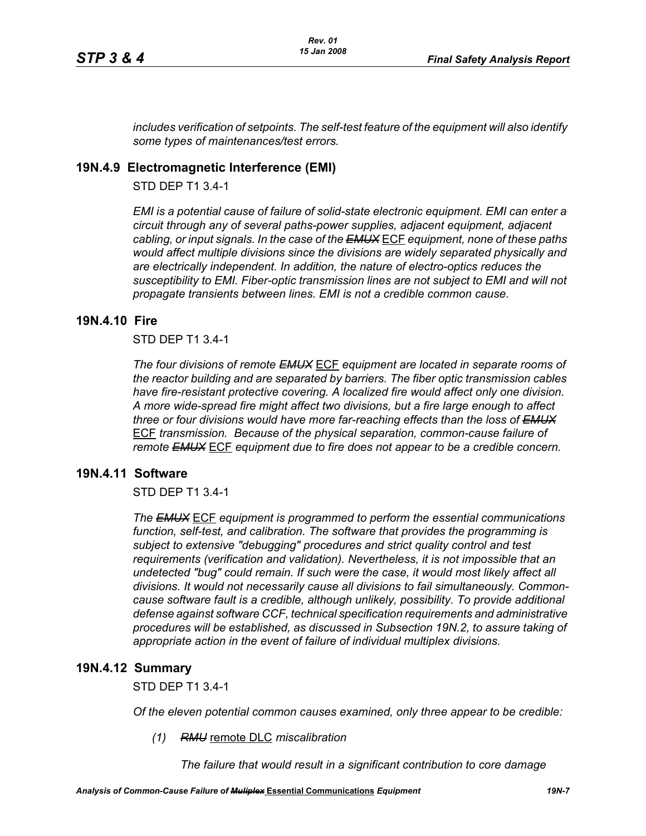*includes verification of setpoints. The self-test feature of the equipment will also identify some types of maintenances/test errors.* 

# **19N.4.9 Electromagnetic Interference (EMI)**

STD DEP T1 3.4-1

*EMI is a potential cause of failure of solid-state electronic equipment. EMI can enter a circuit through any of several paths-power supplies, adjacent equipment, adjacent cabling, or input signals. In the case of the EMUX* ECF *equipment, none of these paths would affect multiple divisions since the divisions are widely separated physically and are electrically independent. In addition, the nature of electro-optics reduces the susceptibility to EMI. Fiber-optic transmission lines are not subject to EMI and will not propagate transients between lines. EMI is not a credible common cause.* 

### **19N.4.10 Fire**

### STD DEP T1 3.4-1

*The four divisions of remote EMUX* ECF *equipment are located in separate rooms of the reactor building and are separated by barriers. The fiber optic transmission cables have fire-resistant protective covering. A localized fire would affect only one division. A more wide-spread fire might affect two divisions, but a fire large enough to affect three or four divisions would have more far-reaching effects than the loss of EMUX* ECF *transmission. Because of the physical separation, common-cause failure of remote EMUX* ECF *equipment due to fire does not appear to be a credible concern.* 

## **19N.4.11 Software**

### STD DEP T1 3.4-1

*The EMUX* ECF *equipment is programmed to perform the essential communications function, self-test, and calibration. The software that provides the programming is subject to extensive "debugging" procedures and strict quality control and test requirements (verification and validation). Nevertheless, it is not impossible that an undetected "bug" could remain. If such were the case, it would most likely affect all divisions. It would not necessarily cause all divisions to fail simultaneously. Commoncause software fault is a credible, although unlikely, possibility. To provide additional defense against software CCF, technical specification requirements and administrative procedures will be established, as discussed in Subsection 19N.2, to assure taking of appropriate action in the event of failure of individual multiplex divisions.* 

### **19N.4.12 Summary**

STD DEP T1 3.4-1

*Of the eleven potential common causes examined, only three appear to be credible:* 

*(1) RMU* remote DLC *miscalibration*

*The failure that would result in a significant contribution to core damage*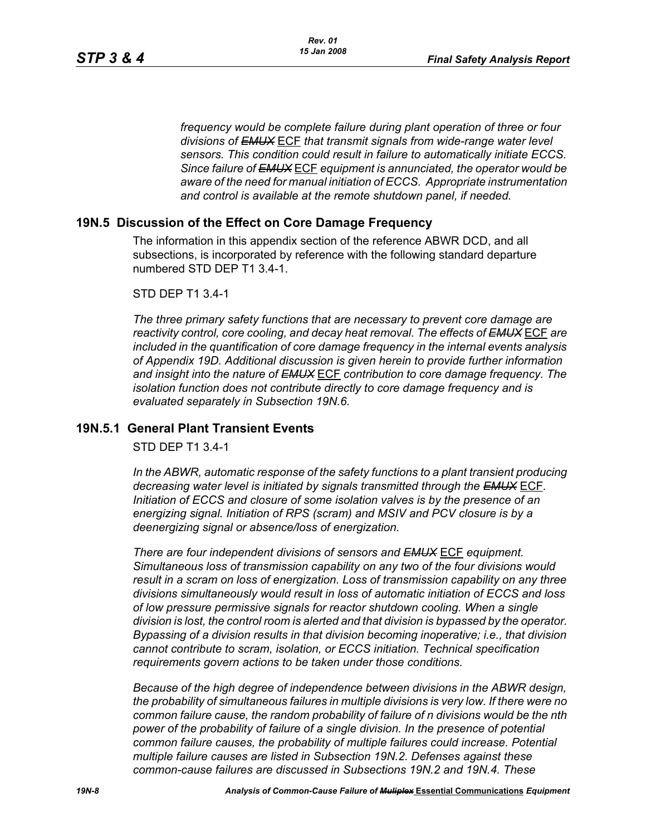*frequency would be complete failure during plant operation of three or four divisions of EMUX* ECF *that transmit signals from wide-range water level sensors. This condition could result in failure to automatically initiate ECCS. Since failure of EMUX* ECF *equipment is annunciated, the operator would be aware of the need for manual initiation of ECCS. Appropriate instrumentation and control is available at the remote shutdown panel, if needed.* 

## **19N.5 Discussion of the Effect on Core Damage Frequency**

The information in this appendix section of the reference ABWR DCD, and all subsections, is incorporated by reference with the following standard departure numbered STD DEP T1 3.4-1.

#### STD DEP T1 3.4-1

*The three primary safety functions that are necessary to prevent core damage are reactivity control, core cooling, and decay heat removal. The effects of EMUX* ECF *are included in the quantification of core damage frequency in the internal events analysis of Appendix 19D. Additional discussion is given herein to provide further information and insight into the nature of EMUX* ECF *contribution to core damage frequency. The isolation function does not contribute directly to core damage frequency and is evaluated separately in Subsection 19N.6.* 

### **19N.5.1 General Plant Transient Events**

STD DEP T1 3.4-1

*In the ABWR, automatic response of the safety functions to a plant transient producing decreasing water level is initiated by signals transmitted through the EMUX* ECF*. Initiation of ECCS and closure of some isolation valves is by the presence of an energizing signal. Initiation of RPS (scram) and MSIV and PCV closure is by a deenergizing signal or absence/loss of energization.* 

*There are four independent divisions of sensors and EMUX* ECF *equipment. Simultaneous loss of transmission capability on any two of the four divisions would result in a scram on loss of energization. Loss of transmission capability on any three divisions simultaneously would result in loss of automatic initiation of ECCS and loss of low pressure permissive signals for reactor shutdown cooling. When a single division is lost, the control room is alerted and that division is bypassed by the operator. Bypassing of a division results in that division becoming inoperative; i.e., that division cannot contribute to scram, isolation, or ECCS initiation. Technical specification requirements govern actions to be taken under those conditions.* 

*Because of the high degree of independence between divisions in the ABWR design, the probability of simultaneous failures in multiple divisions is very low. If there were no common failure cause, the random probability of failure of n divisions would be the nth power of the probability of failure of a single division. In the presence of potential common failure causes, the probability of multiple failures could increase. Potential multiple failure causes are listed in Subsection 19N.2. Defenses against these common-cause failures are discussed in Subsections 19N.2 and 19N.4. These*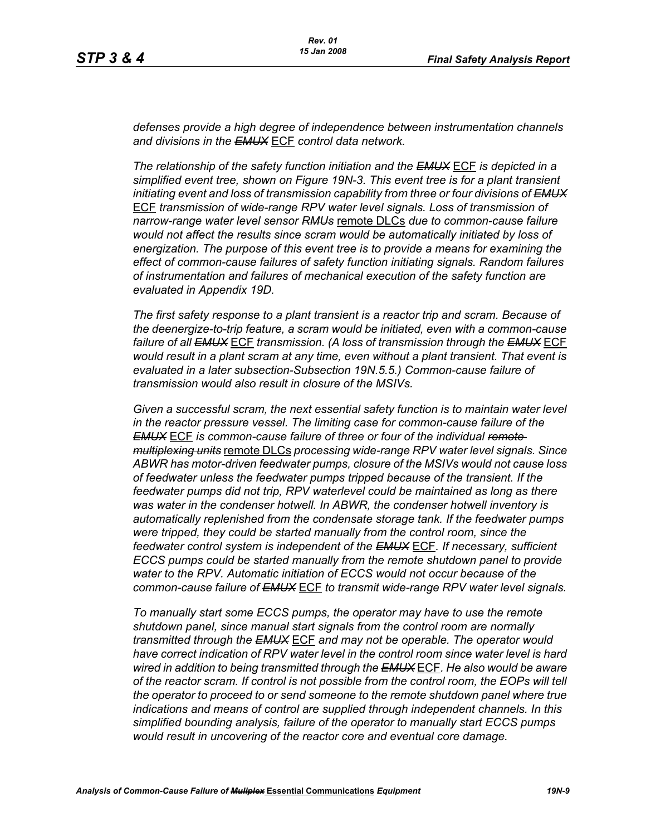*defenses provide a high degree of independence between instrumentation channels and divisions in the EMUX* ECF *control data network.* 

*The relationship of the safety function initiation and the EMUX* ECF *is depicted in a simplified event tree, shown on Figure 19N-3. This event tree is for a plant transient initiating event and loss of transmission capability from three or four divisions of EMUX* ECF *transmission of wide-range RPV water level signals. Loss of transmission of narrow-range water level sensor RMUs* remote DLCs *due to common-cause failure would not affect the results since scram would be automatically initiated by loss of energization. The purpose of this event tree is to provide a means for examining the effect of common-cause failures of safety function initiating signals. Random failures of instrumentation and failures of mechanical execution of the safety function are evaluated in Appendix 19D.*

*The first safety response to a plant transient is a reactor trip and scram. Because of the deenergize-to-trip feature, a scram would be initiated, even with a common-cause failure of all EMUX* ECF *transmission. (A loss of transmission through the EMUX* ECF *would result in a plant scram at any time, even without a plant transient. That event is evaluated in a later subsection-Subsection 19N.5.5.) Common-cause failure of transmission would also result in closure of the MSIVs.* 

*Given a successful scram, the next essential safety function is to maintain water level in the reactor pressure vessel. The limiting case for common-cause failure of the EMUX* ECF *is common-cause failure of three or four of the individual remote multiplexing units* remote DLCs *processing wide-range RPV water level signals. Since ABWR has motor-driven feedwater pumps, closure of the MSIVs would not cause loss of feedwater unless the feedwater pumps tripped because of the transient. If the feedwater pumps did not trip, RPV waterlevel could be maintained as long as there was water in the condenser hotwell. In ABWR, the condenser hotwell inventory is automatically replenished from the condensate storage tank. If the feedwater pumps were tripped, they could be started manually from the control room, since the feedwater control system is independent of the EMUX* ECF*. If necessary, sufficient ECCS pumps could be started manually from the remote shutdown panel to provide water to the RPV. Automatic initiation of ECCS would not occur because of the common-cause failure of EMUX* ECF *to transmit wide-range RPV water level signals.* 

*To manually start some ECCS pumps, the operator may have to use the remote shutdown panel, since manual start signals from the control room are normally transmitted through the EMUX* ECF *and may not be operable. The operator would have correct indication of RPV water level in the control room since water level is hard wired in addition to being transmitted through the EMUX* ECF*. He also would be aware of the reactor scram. If control is not possible from the control room, the EOPs will tell the operator to proceed to or send someone to the remote shutdown panel where true indications and means of control are supplied through independent channels. In this simplified bounding analysis, failure of the operator to manually start ECCS pumps would result in uncovering of the reactor core and eventual core damage.*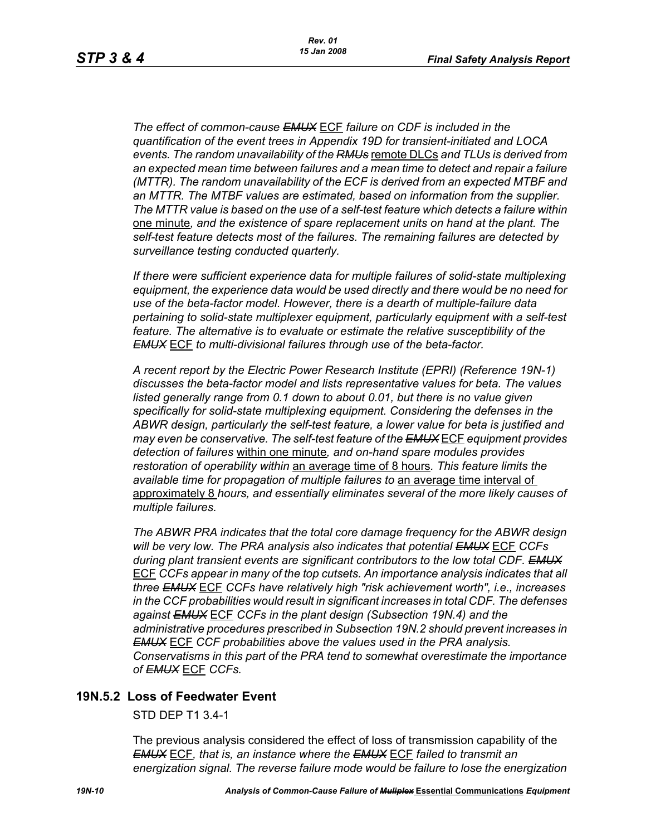*The effect of common-cause EMUX* ECF *failure on CDF is included in the quantification of the event trees in Appendix 19D for transient-initiated and LOCA events. The random unavailability of the RMUs* remote DLCs *and TLUs is derived from an expected mean time between failures and a mean time to detect and repair a failure (MTTR). The random unavailability of the ECF is derived from an expected MTBF and an MTTR. The MTBF values are estimated, based on information from the supplier. The MTTR value is based on the use of a self-test feature which detects a failure within*  one minute*, and the existence of spare replacement units on hand at the plant. The self-test feature detects most of the failures. The remaining failures are detected by surveillance testing conducted quarterly.* 

*If there were sufficient experience data for multiple failures of solid-state multiplexing equipment, the experience data would be used directly and there would be no need for use of the beta-factor model. However, there is a dearth of multiple-failure data pertaining to solid-state multiplexer equipment, particularly equipment with a self-test feature. The alternative is to evaluate or estimate the relative susceptibility of the EMUX* ECF *to multi-divisional failures through use of the beta-factor.* 

*A recent report by the Electric Power Research Institute (EPRI) (Reference 19N-1) discusses the beta-factor model and lists representative values for beta. The values*  listed generally range from 0.1 down to about 0.01, but there is no value given *specifically for solid-state multiplexing equipment. Considering the defenses in the ABWR design, particularly the self-test feature, a lower value for beta is justified and may even be conservative. The self-test feature of the EMUX* ECF *equipment provides detection of failures* within one minute*, and on-hand spare modules provides restoration of operability within* an average time of 8 hours*. This feature limits the available time for propagation of multiple failures to* an average time interval of approximately 8 *hours, and essentially eliminates several of the more likely causes of multiple failures.* 

*The ABWR PRA indicates that the total core damage frequency for the ABWR design will be very low. The PRA analysis also indicates that potential EMUX* ECF *CCFs during plant transient events are significant contributors to the low total CDF. EMUX* ECF *CCFs appear in many of the top cutsets. An importance analysis indicates that all three EMUX* ECF *CCFs have relatively high "risk achievement worth", i.e., increases in the CCF probabilities would result in significant increases in total CDF. The defenses against EMUX* ECF *CCFs in the plant design (Subsection 19N.4) and the administrative procedures prescribed in Subsection 19N.2 should prevent increases in EMUX* ECF *CCF probabilities above the values used in the PRA analysis. Conservatisms in this part of the PRA tend to somewhat overestimate the importance of EMUX* ECF *CCFs.* 

## **19N.5.2 Loss of Feedwater Event**

STD DEP T1 3.4-1

The previous analysis considered the effect of loss of transmission capability of the *EMUX* ECF*, that is, an instance where the EMUX* ECF *failed to transmit an energization signal. The reverse failure mode would be failure to lose the energization*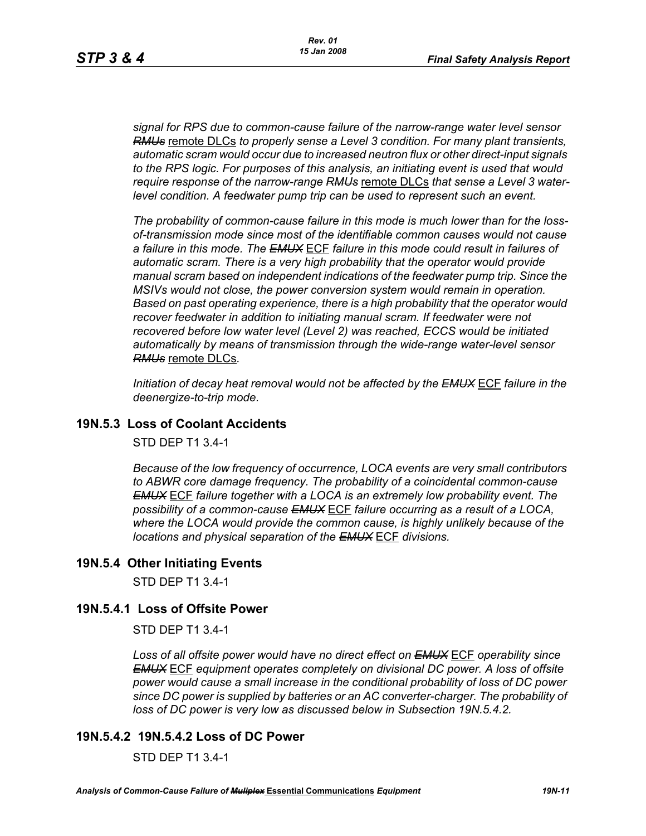*signal for RPS due to common-cause failure of the narrow-range water level sensor RMUs* remote DLCs *to properly sense a Level 3 condition. For many plant transients, automatic scram would occur due to increased neutron flux or other direct-input signals to the RPS logic. For purposes of this analysis, an initiating event is used that would require response of the narrow-range RMUs* remote DLCs *that sense a Level 3 waterlevel condition. A feedwater pump trip can be used to represent such an event.*

*The probability of common-cause failure in this mode is much lower than for the lossof-transmission mode since most of the identifiable common causes would not cause a failure in this mode. The EMUX* ECF *failure in this mode could result in failures of*  automatic scram. There is a very high probability that the operator would provide *manual scram based on independent indications of the feedwater pump trip. Since the MSIVs would not close, the power conversion system would remain in operation. Based on past operating experience, there is a high probability that the operator would recover feedwater in addition to initiating manual scram. If feedwater were not recovered before low water level (Level 2) was reached, ECCS would be initiated automatically by means of transmission through the wide-range water-level sensor RMUs* remote DLCs*.* 

*Initiation of decay heat removal would not be affected by the EMUX* ECF *failure in the deenergize-to-trip mode.*

# **19N.5.3 Loss of Coolant Accidents**

STD DEP T1 3.4-1

*Because of the low frequency of occurrence, LOCA events are very small contributors to ABWR core damage frequency. The probability of a coincidental common-cause EMUX* ECF *failure together with a LOCA is an extremely low probability event. The possibility of a common-cause EMUX* ECF *failure occurring as a result of a LOCA, where the LOCA would provide the common cause, is highly unlikely because of the locations and physical separation of the EMUX* ECF *divisions.* 

# **19N.5.4 Other Initiating Events**

STD DEP T1 3.4-1

# **19N.5.4.1 Loss of Offsite Power**

STD DEP T1 3.4-1

*Loss of all offsite power would have no direct effect on EMUX* ECF *operability since EMUX* ECF *equipment operates completely on divisional DC power. A loss of offsite power would cause a small increase in the conditional probability of loss of DC power since DC power is supplied by batteries or an AC converter-charger. The probability of loss of DC power is very low as discussed below in Subsection 19N.5.4.2.* 

# **19N.5.4.2 19N.5.4.2 Loss of DC Power**

STD DEP T1 3.4-1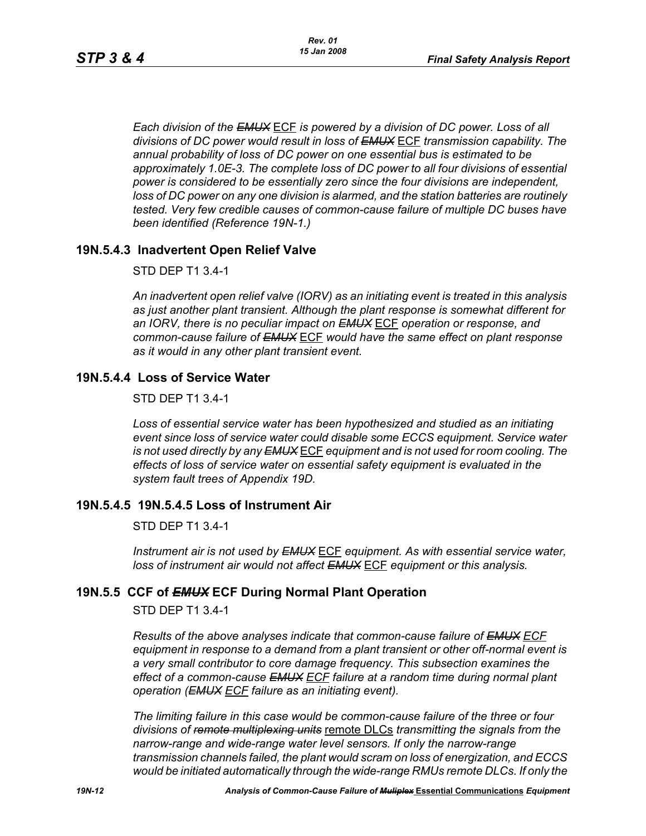*Each division of the EMUX* ECF *is powered by a division of DC power. Loss of all divisions of DC power would result in loss of EMUX* ECF *transmission capability. The annual probability of loss of DC power on one essential bus is estimated to be approximately 1.0E-3. The complete loss of DC power to all four divisions of essential power is considered to be essentially zero since the four divisions are independent, loss of DC power on any one division is alarmed, and the station batteries are routinely tested. Very few credible causes of common-cause failure of multiple DC buses have been identified (Reference 19N-1.)*

# **19N.5.4.3 Inadvertent Open Relief Valve**

### STD DEP T1 3.4-1

*An inadvertent open relief valve (IORV) as an initiating event is treated in this analysis as just another plant transient. Although the plant response is somewhat different for an IORV, there is no peculiar impact on EMUX* ECF *operation or response, and common-cause failure of EMUX* ECF *would have the same effect on plant response as it would in any other plant transient event.*

## **19N.5.4.4 Loss of Service Water**

STD DEP T1 3.4-1

*Loss of essential service water has been hypothesized and studied as an initiating event since loss of service water could disable some ECCS equipment. Service water is not used directly by any EMUX* ECF *equipment and is not used for room cooling. The effects of loss of service water on essential safety equipment is evaluated in the system fault trees of Appendix 19D.* 

## **19N.5.4.5 19N.5.4.5 Loss of Instrument Air**

## STD DEP T1 3.4-1

*Instrument air is not used by EMUX* ECF *equipment. As with essential service water, loss of instrument air would not affect EMUX* ECF *equipment or this analysis.* 

## **19N.5.5 CCF of** *EMUX* **ECF During Normal Plant Operation**

STD DEP T1 3.4-1

*Results of the above analyses indicate that common-cause failure of EMUX ECF equipment in response to a demand from a plant transient or other off-normal event is a very small contributor to core damage frequency. This subsection examines the effect of a common-cause EMUX ECF failure at a random time during normal plant operation (EMUX ECF failure as an initiating event).* 

*The limiting failure in this case would be common-cause failure of the three or four divisions of remote multiplexing units* remote DLCs *transmitting the signals from the narrow-range and wide-range water level sensors. If only the narrow-range transmission channels failed, the plant would scram on loss of energization, and ECCS would be initiated automatically through the wide-range RMUs remote DLCs. If only the*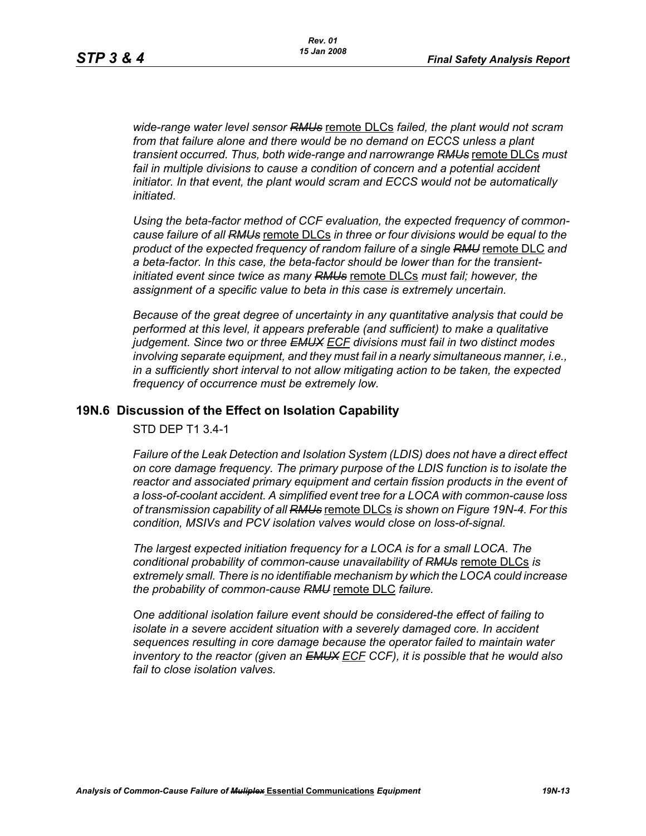*wide-range water level sensor RMUs* remote DLCs *failed, the plant would not scram from that failure alone and there would be no demand on ECCS unless a plant transient occurred. Thus, both wide-range and narrowrange RMUs* remote DLCs *must*  fail in multiple divisions to cause a condition of concern and a potential accident *initiator. In that event, the plant would scram and ECCS would not be automatically initiated.* 

*Using the beta-factor method of CCF evaluation, the expected frequency of commoncause failure of all RMUs* remote DLCs *in three or four divisions would be equal to the product of the expected frequency of random failure of a single RMU* remote DLC *and a beta-factor. In this case, the beta-factor should be lower than for the transientinitiated event since twice as many RMUs* remote DLCs *must fail; however, the assignment of a specific value to beta in this case is extremely uncertain.* 

*Because of the great degree of uncertainty in any quantitative analysis that could be performed at this level, it appears preferable (and sufficient) to make a qualitative judgement. Since two or three EMUX ECF divisions must fail in two distinct modes involving separate equipment, and they must fail in a nearly simultaneous manner, i.e., in a sufficiently short interval to not allow mitigating action to be taken, the expected frequency of occurrence must be extremely low.*

### **19N.6 Discussion of the Effect on Isolation Capability**

STD DEP T1 3.4-1

*Failure of the Leak Detection and Isolation System (LDIS) does not have a direct effect on core damage frequency. The primary purpose of the LDIS function is to isolate the*  reactor and associated primary equipment and certain fission products in the event of *a loss-of-coolant accident. A simplified event tree for a LOCA with common-cause loss of transmission capability of all RMUs* remote DLCs *is shown on Figure 19N-4. For this condition, MSIVs and PCV isolation valves would close on loss-of-signal.* 

*The largest expected initiation frequency for a LOCA is for a small LOCA. The conditional probability of common-cause unavailability of RMUs* remote DLCs *is extremely small. There is no identifiable mechanism by which the LOCA could increase the probability of common-cause RMU* remote DLC *failure.*

*One additional isolation failure event should be considered-the effect of failing to isolate in a severe accident situation with a severely damaged core. In accident sequences resulting in core damage because the operator failed to maintain water inventory to the reactor (given an EMUX ECF CCF), it is possible that he would also fail to close isolation valves.*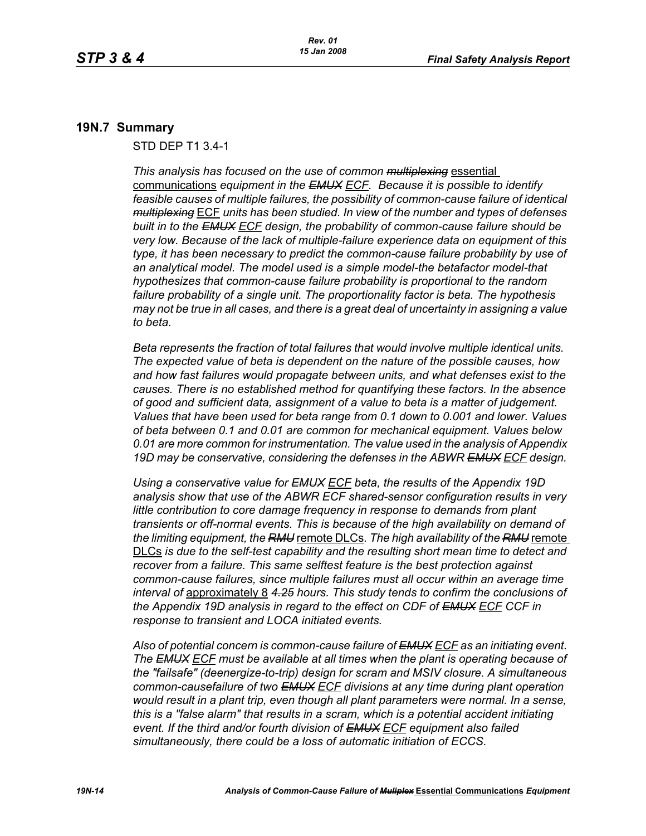### **19N.7 Summary**

STD DEP T1 3.4-1

*This analysis has focused on the use of common multiplexing* essential communications *equipment in the EMUX ECF. Because it is possible to identify feasible causes of multiple failures, the possibility of common-cause failure of identical multiplexing* ECF *units has been studied. In view of the number and types of defenses built in to the EMUX ECF design, the probability of common-cause failure should be very low. Because of the lack of multiple-failure experience data on equipment of this type, it has been necessary to predict the common-cause failure probability by use of an analytical model. The model used is a simple model-the betafactor model-that hypothesizes that common-cause failure probability is proportional to the random failure probability of a single unit. The proportionality factor is beta. The hypothesis may not be true in all cases, and there is a great deal of uncertainty in assigning a value to beta.* 

*Beta represents the fraction of total failures that would involve multiple identical units. The expected value of beta is dependent on the nature of the possible causes, how and how fast failures would propagate between units, and what defenses exist to the causes. There is no established method for quantifying these factors. In the absence of good and sufficient data, assignment of a value to beta is a matter of judgement. Values that have been used for beta range from 0.1 down to 0.001 and lower. Values of beta between 0.1 and 0.01 are common for mechanical equipment. Values below 0.01 are more common for instrumentation. The value used in the analysis of Appendix 19D may be conservative, considering the defenses in the ABWR EMUX ECF design.* 

*Using a conservative value for EMUX ECF beta, the results of the Appendix 19D analysis show that use of the ABWR ECF shared-sensor configuration results in very little contribution to core damage frequency in response to demands from plant transients or off-normal events. This is because of the high availability on demand of the limiting equipment, the RMU* remote DLCs*. The high availability of the RMU* remote DLCs *is due to the self-test capability and the resulting short mean time to detect and recover from a failure. This same selftest feature is the best protection against common-cause failures, since multiple failures must all occur within an average time interval of* approximately 8 *4.25 hours. This study tends to confirm the conclusions of the Appendix 19D analysis in regard to the effect on CDF of EMUX ECF CCF in response to transient and LOCA initiated events.*

*Also of potential concern is common-cause failure of EMUX ECF as an initiating event. The EMUX ECF must be available at all times when the plant is operating because of the "failsafe" (deenergize-to-trip) design for scram and MSIV closure. A simultaneous common-causefailure of two EMUX ECF divisions at any time during plant operation would result in a plant trip, even though all plant parameters were normal. In a sense, this is a "false alarm" that results in a scram, which is a potential accident initiating event. If the third and/or fourth division of EMUX ECF equipment also failed simultaneously, there could be a loss of automatic initiation of ECCS.*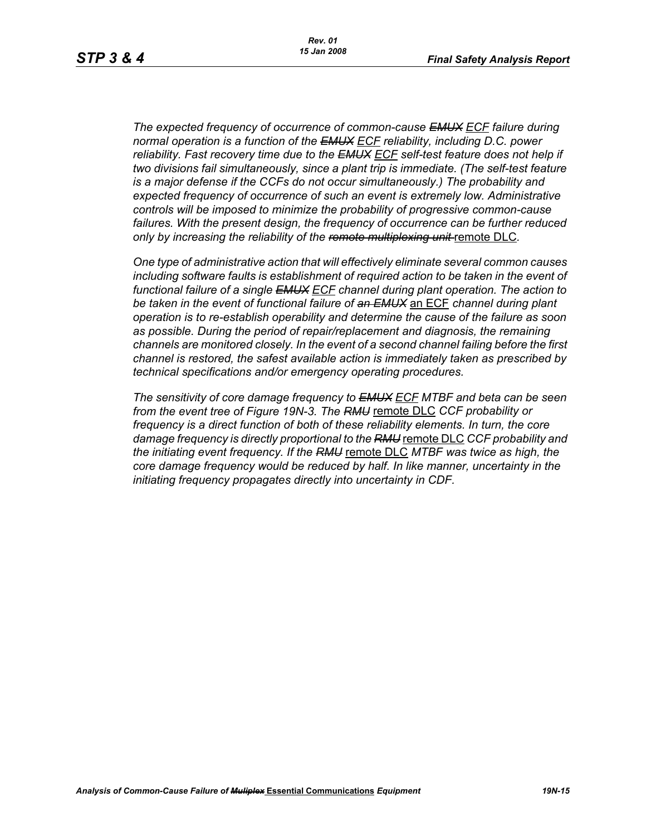*The expected frequency of occurrence of common-cause EMUX ECF failure during normal operation is a function of the EMUX ECF reliability, including D.C. power reliability. Fast recovery time due to the EMUX ECF self-test feature does not help if two divisions fail simultaneously, since a plant trip is immediate. (The self-test feature is a major defense if the CCFs do not occur simultaneously.) The probability and expected frequency of occurrence of such an event is extremely low. Administrative controls will be imposed to minimize the probability of progressive common-cause failures. With the present design, the frequency of occurrence can be further reduced only by increasing the reliability of the remote multiplexing unit* remote DLC*.* 

*One type of administrative action that will effectively eliminate several common causes including software faults is establishment of required action to be taken in the event of functional failure of a single EMUX ECF channel during plant operation. The action to be taken in the event of functional failure of an EMUX* an ECF *channel during plant operation is to re-establish operability and determine the cause of the failure as soon as possible. During the period of repair/replacement and diagnosis, the remaining channels are monitored closely. In the event of a second channel failing before the first channel is restored, the safest available action is immediately taken as prescribed by technical specifications and/or emergency operating procedures.* 

*The sensitivity of core damage frequency to EMUX ECF MTBF and beta can be seen from the event tree of Figure 19N-3. The RMU* remote DLC *CCF probability or frequency is a direct function of both of these reliability elements. In turn, the core damage frequency is directly proportional to the RMU* remote DLC *CCF probability and the initiating event frequency. If the RMU* remote DLC *MTBF was twice as high, the core damage frequency would be reduced by half. In like manner, uncertainty in the initiating frequency propagates directly into uncertainty in CDF.*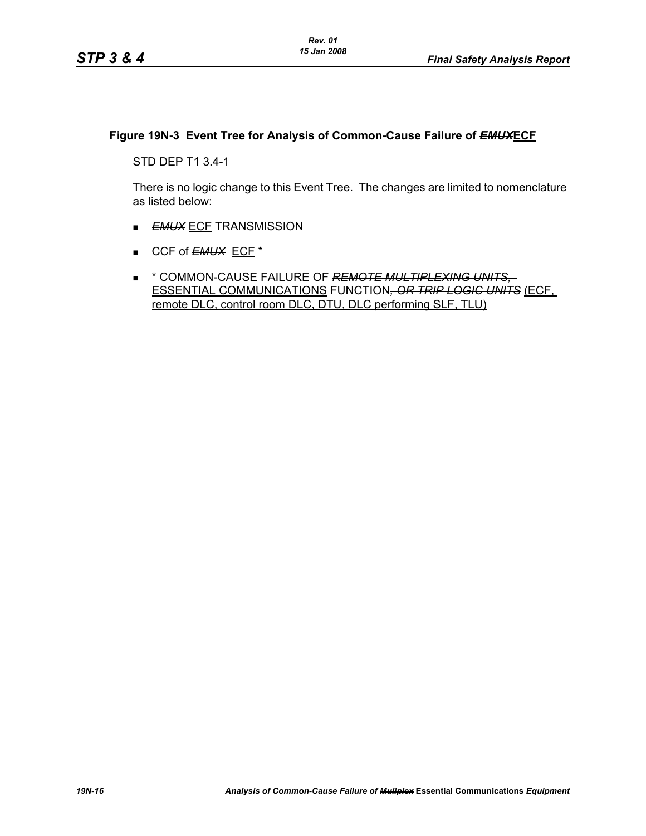## **Figure 19N-3 Event Tree for Analysis of Common-Cause Failure of** *EMUX***ECF**

STD DEP T1 3.4-1

There is no logic change to this Event Tree. The changes are limited to nomenclature as listed below:

- **EMUX ECF TRANSMISSION**
- CCF of **EMUX** ECF<sup>\*</sup>
- \* COMMON-CAUSE FAILURE OF *REMOTE MULTIPLEXING UNITS,*  ESSENTIAL COMMUNICATIONS FUNCTION*, OR TRIP LOGIC UNITS* (ECF, remote DLC, control room DLC, DTU, DLC performing SLF, TLU)